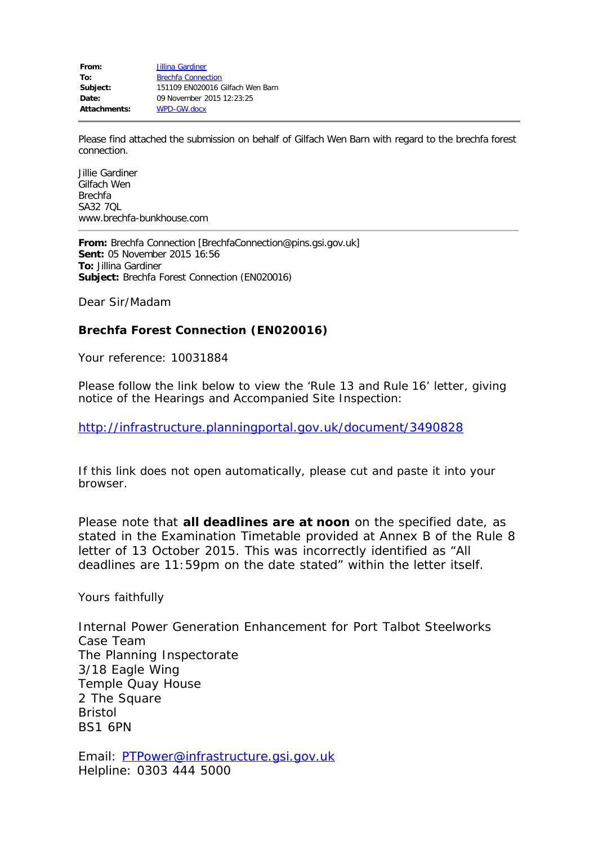**From:** [Jillina Gardiner](mailto:info@brechfa-bunkhouse.com) To: [Brechfa Connection](mailto:BrechfaConnection@pins.gsi.gov.uk) **Subject:** 151109 EN020016 Gilfach Wen Barn **Date:** 09 November 2015 12:23:25 **Attachments:** WPD-GW.docx

Please find attached the submission on behalf of Gilfach Wen Barn with regard to the brechfa forest connection.

Jillie Gardiner Gilfach Wen Brechfa SA32 7QL www.brechfa-bunkhouse.com

**From:** Brechfa Connection [BrechfaConnection@pins.gsi.gov.uk] **Sent:** 05 November 2015 16:56 **To:** Jillina Gardiner **Subject:** Brechfa Forest Connection (EN020016)

Dear Sir/Madam

### **Brechfa Forest Connection (EN020016)**

Your reference: 10031884

Please follow the link below to view the 'Rule 13 and Rule 16' letter, giving notice of the Hearings and Accompanied Site Inspection:

<http://infrastructure.planningportal.gov.uk/document/3490828>

If this link does not open automatically, please cut and paste it into your browser.

Please note that **all deadlines are at noon** on the specified date, as stated in the Examination Timetable provided at Annex B of the Rule 8 letter of 13 October 2015. This was incorrectly identified as "All deadlines are 11:59pm on the date stated" within the letter itself.

Yours faithfully

Internal Power Generation Enhancement for Port Talbot Steelworks Case Team The Planning Inspectorate 3/18 Eagle Wing Temple Quay House 2 The Square Bristol BS1 6PN

Email: [PTPower@infrastructure.gsi.gov.uk](mailto:PTPower@infrastructure.gsi.gov.uk) Helpline: 0303 444 5000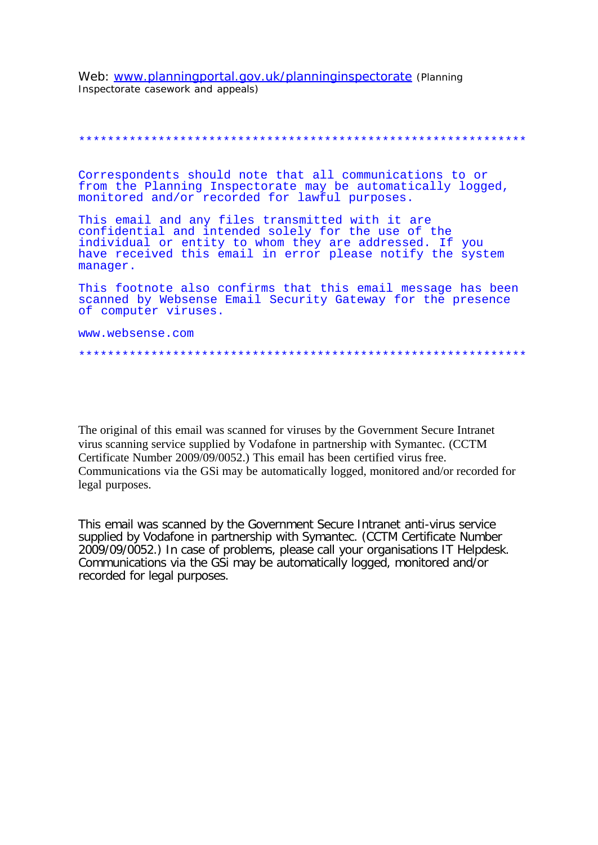Web: www.planningportal.gov.uk/planninginspectorate (Planning Inspectorate casework and appeals)

### 

Correspondents should note that all communications to or from the Planning Inspectorate may be automatically logged, monitored and/or recorded for lawful purposes.

This email and any files transmitted with it are confidential and intended solely for the use of the individual or entity to whom they are addressed. If you have received this email in error please notify the system manager.

This footnote also confirms that this email message has been scanned by Websense Email Security Gateway for the presence of computer viruses.

www.websense.com

#### 

The original of this email was scanned for viruses by the Government Secure Intranet virus scanning service supplied by Vodafone in partnership with Symantec. (CCTM Certificate Number 2009/09/0052.) This email has been certified virus free. Communications via the GSi may be automatically logged, monitored and/or recorded for legal purposes.

This email was scanned by the Government Secure Intranet anti-virus service supplied by Vodafone in partnership with Symantec. (CCTM Certificate Number 2009/09/0052.) In case of problems, please call your organisations IT Helpdesk. Communications via the GSI may be automatically logged, monitored and/or recorded for legal purposes.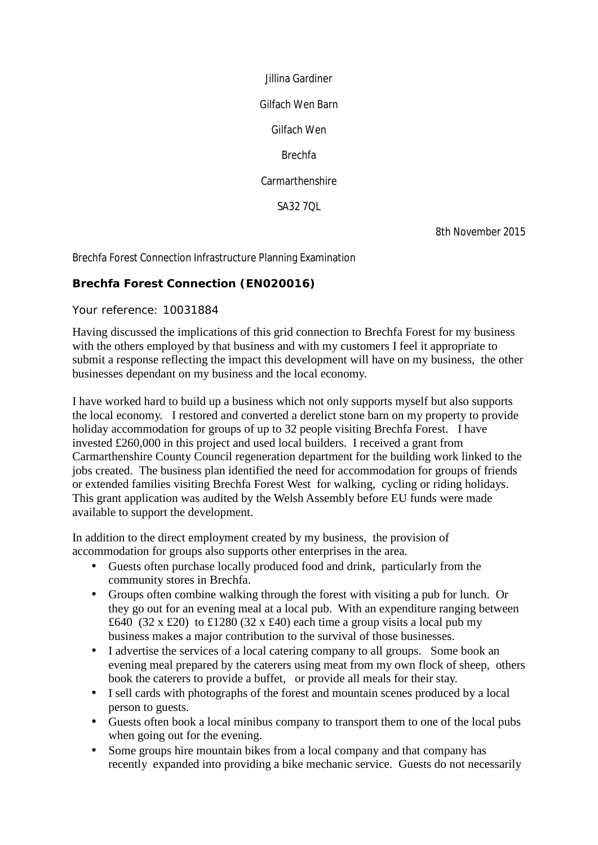Jillina Gardiner

Gilfach Wen Barn

Gilfach Wen

Brechfa

**Carmarthenshire** 

SA32 7QL

8th November 2015

Brechfa Forest Connection Infrastructure Planning Examination

## **Brechfa Forest Connection (EN020016)**

Your reference: 10031884

Having discussed the implications of this grid connection to Brechfa Forest for my business with the others employed by that business and with my customers I feel it appropriate to submit a response reflecting the impact this development will have on my business, the other businesses dependant on my business and the local economy.

I have worked hard to build up a business which not only supports myself but also supports the local economy. I restored and converted a derelict stone barn on my property to provide holiday accommodation for groups of up to 32 people visiting Brechfa Forest. I have invested £260,000 in this project and used local builders. I received a grant from Carmarthenshire County Council regeneration department for the building work linked to the jobs created. The business plan identified the need for accommodation for groups of friends or extended families visiting Brechfa Forest West for walking, cycling or riding holidays. This grant application was audited by the Welsh Assembly before EU funds were made available to support the development.

In addition to the direct employment created by my business, the provision of accommodation for groups also supports other enterprises in the area.

- Guests often purchase locally produced food and drink, particularly from the  $\mathbf{r}^{\mathrm{max}}$ community stores in Brechfa.
- Groups often combine walking through the forest with visiting a pub for lunch. Or they go out for an evening meal at a local pub. With an expenditure ranging between £640 (32 x £20) to £1280 (32 x £40) each time a group visits a local pub my business makes a major contribution to the survival of those businesses.
- I advertise the services of a local catering company to all groups. Some book an evening meal prepared by the caterers using meat from my own flock of sheep, others book the caterers to provide a buffet, or provide all meals for their stay.
- I sell cards with photographs of the forest and mountain scenes produced by a local  $\mathbf{r}^{\mathrm{max}}$ person to guests.
- Guests often book a local minibus company to transport them to one of the local pubs when going out for the evening.
- Some groups hire mountain bikes from a local company and that company has  $\mathbf{r}^{(1)}$ recently expanded into providing a bike mechanic service. Guests do not necessarily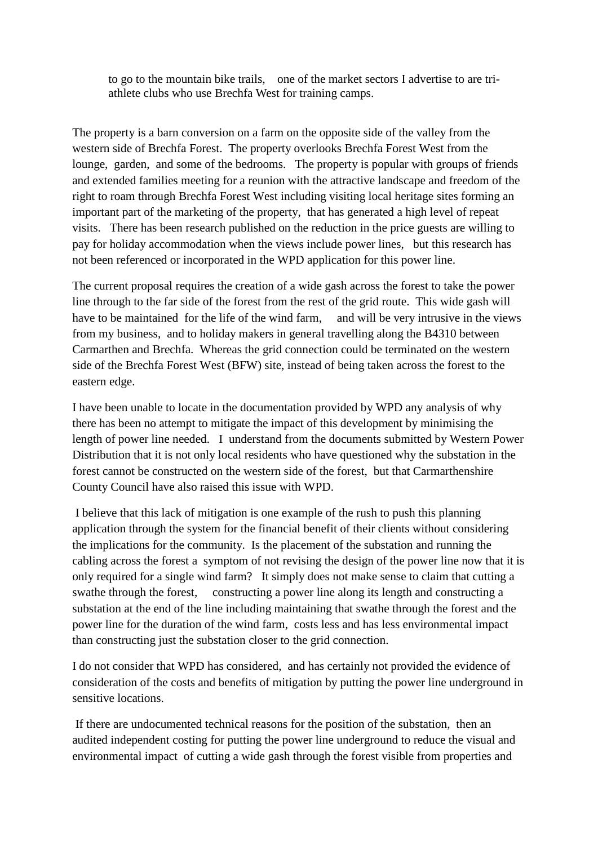to go to the mountain bike trails, one of the market sectors I advertise to are triathlete clubs who use Brechfa West for training camps.

The property is a barn conversion on a farm on the opposite side of the valley from the western side of Brechfa Forest. The property overlooks Brechfa Forest West from the lounge, garden, and some of the bedrooms. The property is popular with groups of friends and extended families meeting for a reunion with the attractive landscape and freedom of the right to roam through Brechfa Forest West including visiting local heritage sites forming an important part of the marketing of the property, that has generated a high level of repeat visits. There has been research published on the reduction in the price guests are willing to pay for holiday accommodation when the views include power lines, but this research has not been referenced or incorporated in the WPD application for this power line.

The current proposal requires the creation of a wide gash across the forest to take the power line through to the far side of the forest from the rest of the grid route. This wide gash will have to be maintained for the life of the wind farm, and will be very intrusive in the views from my business, and to holiday makers in general travelling along the B4310 between Carmarthen and Brechfa. Whereas the grid connection could be terminated on the western side of the Brechfa Forest West (BFW) site, instead of being taken across the forest to the eastern edge.

I have been unable to locate in the documentation provided by WPD any analysis of why there has been no attempt to mitigate the impact of this development by minimising the length of power line needed. I understand from the documents submitted by Western Power Distribution that it is not only local residents who have questioned why the substation in the forest cannot be constructed on the western side of the forest, but that Carmarthenshire County Council have also raised this issue with WPD.

I believe that this lack of mitigation is one example of the rush to push this planning application through the system for the financial benefit of their clients without considering the implications for the community. Is the placement of the substation and running the cabling across the forest a symptom of not revising the design of the power line now that it is only required for a single wind farm? It simply does not make sense to claim that cutting a swathe through the forest, constructing a power line along its length and constructing a substation at the end of the line including maintaining that swathe through the forest and the power line for the duration of the wind farm, costs less and has less environmental impact than constructing just the substation closer to the grid connection.

I do not consider that WPD has considered, and has certainly not provided the evidence of consideration of the costs and benefits of mitigation by putting the power line underground in sensitive locations.

If there are undocumented technical reasons for the position of the substation, then an audited independent costing for putting the power line underground to reduce the visual and environmental impact of cutting a wide gash through the forest visible from properties and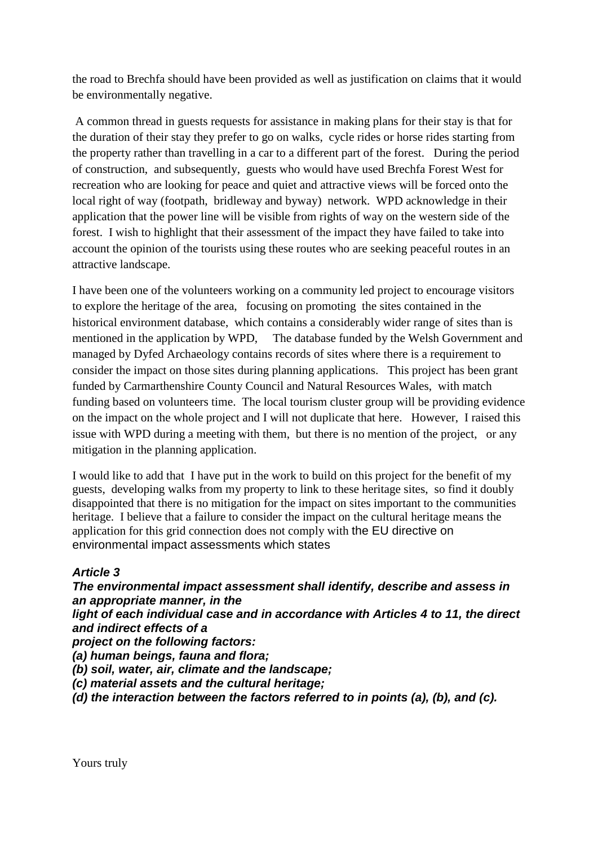the road to Brechfa should have been provided as well as justification on claims that it would be environmentally negative.

A common thread in guests requests for assistance in making plans for their stay is that for the duration of their stay they prefer to go on walks, cycle rides or horse rides starting from the property rather than travelling in a car to a different part of the forest. During the period of construction, and subsequently, guests who would have used Brechfa Forest West for recreation who are looking for peace and quiet and attractive views will be forced onto the local right of way (footpath, bridleway and byway) network. WPD acknowledge in their application that the power line will be visible from rights of way on the western side of the forest. I wish to highlight that their assessment of the impact they have failed to take into account the opinion of the tourists using these routes who are seeking peaceful routes in an attractive landscape.

I have been one of the volunteers working on a community led project to encourage visitors to explore the heritage of the area, focusing on promoting the sites contained in the historical environment database, which contains a considerably wider range of sites than is mentioned in the application by WPD, The database funded by the Welsh Government and managed by Dyfed Archaeology contains records of sites where there is a requirement to consider the impact on those sites during planning applications. This project has been grant funded by Carmarthenshire County Council and Natural Resources Wales, with match funding based on volunteers time. The local tourism cluster group will be providing evidence on the impact on the whole project and I will not duplicate that here. However, I raised this issue with WPD during a meeting with them, but there is no mention of the project, or any mitigation in the planning application.

I would like to add that I have put in the work to build on this project for the benefit of my guests, developing walks from my property to link to these heritage sites, so find it doubly disappointed that there is no mitigation for the impact on sites important to the communities heritage. I believe that a failure to consider the impact on the cultural heritage means the application for this grid connection does not comply with the EU directive on environmental impact assessments which states

# *Article 3*

*The environmental impact assessment shall identify, describe and assess in an appropriate manner, in the light of each individual case and in accordance with Articles 4 to 11, the direct and indirect effects of a project on the following factors: (a) human beings, fauna and flora; (b) soil, water, air, climate and the landscape; (c) material assets and the cultural heritage; (d) the interaction between the factors referred to in points (a), (b), and (c).*